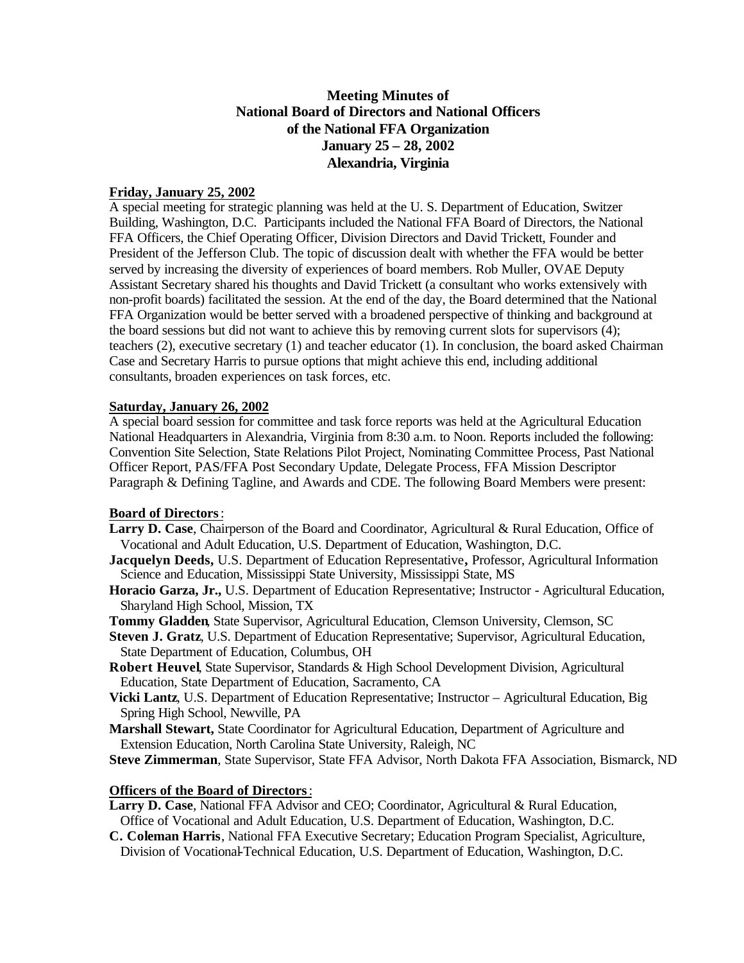# **Meeting Minutes of National Board of Directors and National Officers of the National FFA Organization January 25 – 28, 2002 Alexandria, Virginia**

## **Friday, January 25, 2002**

A special meeting for strategic planning was held at the U. S. Department of Education, Switzer Building, Washington, D.C. Participants included the National FFA Board of Directors, the National FFA Officers, the Chief Operating Officer, Division Directors and David Trickett, Founder and President of the Jefferson Club. The topic of discussion dealt with whether the FFA would be better served by increasing the diversity of experiences of board members. Rob Muller, OVAE Deputy Assistant Secretary shared his thoughts and David Trickett (a consultant who works extensively with non-profit boards) facilitated the session. At the end of the day, the Board determined that the National FFA Organization would be better served with a broadened perspective of thinking and background at the board sessions but did not want to achieve this by removing current slots for supervisors (4); teachers (2), executive secretary (1) and teacher educator (1). In conclusion, the board asked Chairman Case and Secretary Harris to pursue options that might achieve this end, including additional consultants, broaden experiences on task forces, etc.

## **Saturday, January 26, 2002**

A special board session for committee and task force reports was held at the Agricultural Education National Headquarters in Alexandria, Virginia from 8:30 a.m. to Noon. Reports included the following: Convention Site Selection, State Relations Pilot Project, Nominating Committee Process, Past National Officer Report, PAS/FFA Post Secondary Update, Delegate Process, FFA Mission Descriptor Paragraph & Defining Tagline, and Awards and CDE. The following Board Members were present:

## **Board of Directors**:

- **Larry D. Case**, Chairperson of the Board and Coordinator, Agricultural & Rural Education, Office of Vocational and Adult Education, U.S. Department of Education, Washington, D.C.
- **Jacquelyn Deeds,** U.S. Department of Education Representative**,** Professor, Agricultural Information Science and Education, Mississippi State University, Mississippi State, MS
- **Horacio Garza, Jr.,** U.S. Department of Education Representative; Instructor Agricultural Education, Sharyland High School, Mission, TX
- **Tommy Gladden**, State Supervisor, Agricultural Education, Clemson University, Clemson, SC
- **Steven J. Gratz**, U.S. Department of Education Representative; Supervisor, Agricultural Education, State Department of Education, Columbus, OH
- **Robert Heuvel**, State Supervisor, Standards & High School Development Division, Agricultural Education, State Department of Education, Sacramento, CA
- **Vicki Lantz**, U.S. Department of Education Representative; Instructor Agricultural Education, Big Spring High School, Newville, PA
- **Marshall Stewart,** State Coordinator for Agricultural Education, Department of Agriculture and Extension Education, North Carolina State University, Raleigh, NC
- **Steve Zimmerman**, State Supervisor, State FFA Advisor, North Dakota FFA Association, Bismarck, ND

## **Officers of the Board of Directors**:

- **Larry D. Case**, National FFA Advisor and CEO; Coordinator, Agricultural & Rural Education, Office of Vocational and Adult Education, U.S. Department of Education, Washington, D.C.
- **C. Coleman Harris**, National FFA Executive Secretary; Education Program Specialist, Agriculture, Division of Vocational-Technical Education, U.S. Department of Education, Washington, D.C.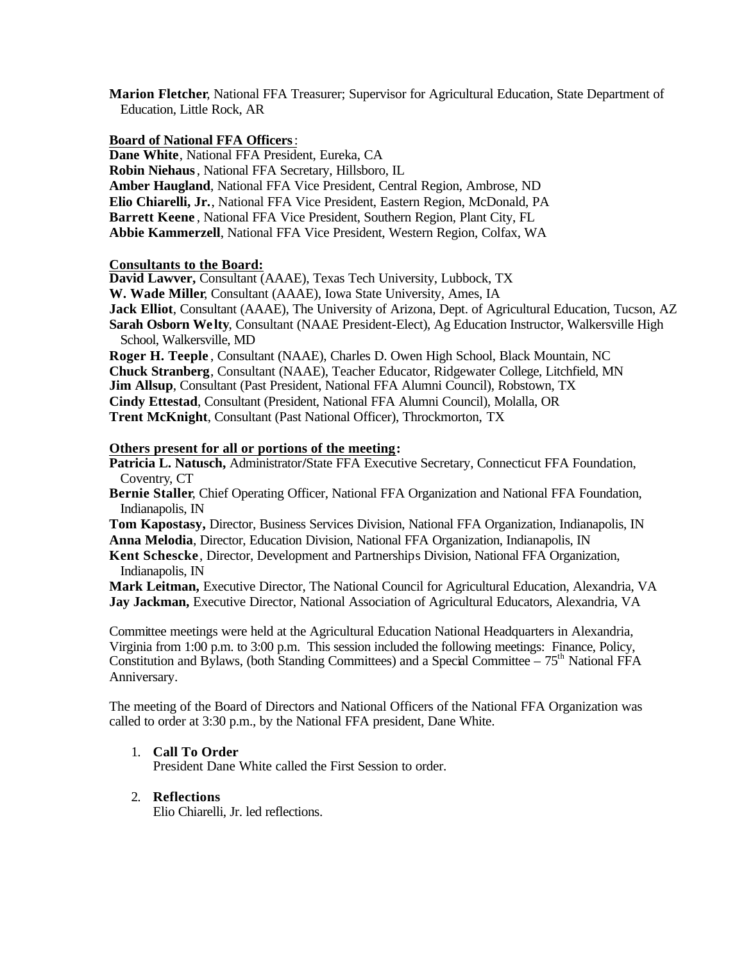**Marion Fletcher**, National FFA Treasurer; Supervisor for Agricultural Education, State Department of Education, Little Rock, AR

### **Board of National FFA Officers**:

**Dane White**, National FFA President, Eureka, CA **Robin Niehaus**, National FFA Secretary, Hillsboro, IL **Amber Haugland**, National FFA Vice President, Central Region, Ambrose, ND **Elio Chiarelli, Jr.**, National FFA Vice President, Eastern Region, McDonald, PA **Barrett Keene** , National FFA Vice President, Southern Region, Plant City, FL **Abbie Kammerzell**, National FFA Vice President, Western Region, Colfax, WA

### **Consultants to the Board:**

**David Lawver,** Consultant (AAAE), Texas Tech University, Lubbock, TX **W. Wade Miller**, Consultant (AAAE), Iowa State University, Ames, IA **Jack Elliot**, Consultant (AAAE), The University of Arizona, Dept. of Agricultural Education, Tucson, AZ **Sarah Osborn We lty**, Consultant (NAAE President-Elect), Ag Education Instructor, Walkersville High School, Walkersville, MD

**Roger H. Teeple** , Consultant (NAAE), Charles D. Owen High School, Black Mountain, NC **Chuck Stranberg**, Consultant (NAAE), Teacher Educator, Ridgewater College, Litchfield, MN **Jim Allsup**, Consultant (Past President, National FFA Alumni Council), Robstown, TX **Cindy Ettestad**, Consultant (President, National FFA Alumni Council), Molalla, OR **Trent McKnight**, Consultant (Past National Officer), Throckmorton, TX

### **Others present for all or portions of the meeting:**

**Patricia L. Natusch,** Administrator**/**State FFA Executive Secretary, Connecticut FFA Foundation, Coventry, CT

**Bernie Staller**, Chief Operating Officer, National FFA Organization and National FFA Foundation, Indianapolis, IN

**Tom Kapostasy,** Director, Business Services Division, National FFA Organization, Indianapolis, IN **Anna Melodia**, Director, Education Division, National FFA Organization, Indianapolis, IN

**Kent Schescke**, Director, Development and Partnerships Division, National FFA Organization, Indianapolis, IN

**Mark Leitman,** Executive Director, The National Council for Agricultural Education, Alexandria, VA **Jay Jackman,** Executive Director, National Association of Agricultural Educators, Alexandria, VA

Committee meetings were held at the Agricultural Education National Headquarters in Alexandria, Virginia from 1:00 p.m. to 3:00 p.m. This session included the following meetings: Finance, Policy, Constitution and Bylaws, (both Standing Committees) and a Special Committee – 75<sup>th</sup> National FFA Anniversary.

The meeting of the Board of Directors and National Officers of the National FFA Organization was called to order at 3:30 p.m., by the National FFA president, Dane White.

## 1. **Call To Order**

President Dane White called the First Session to order.

## 2. **Reflections**

Elio Chiarelli, Jr. led reflections.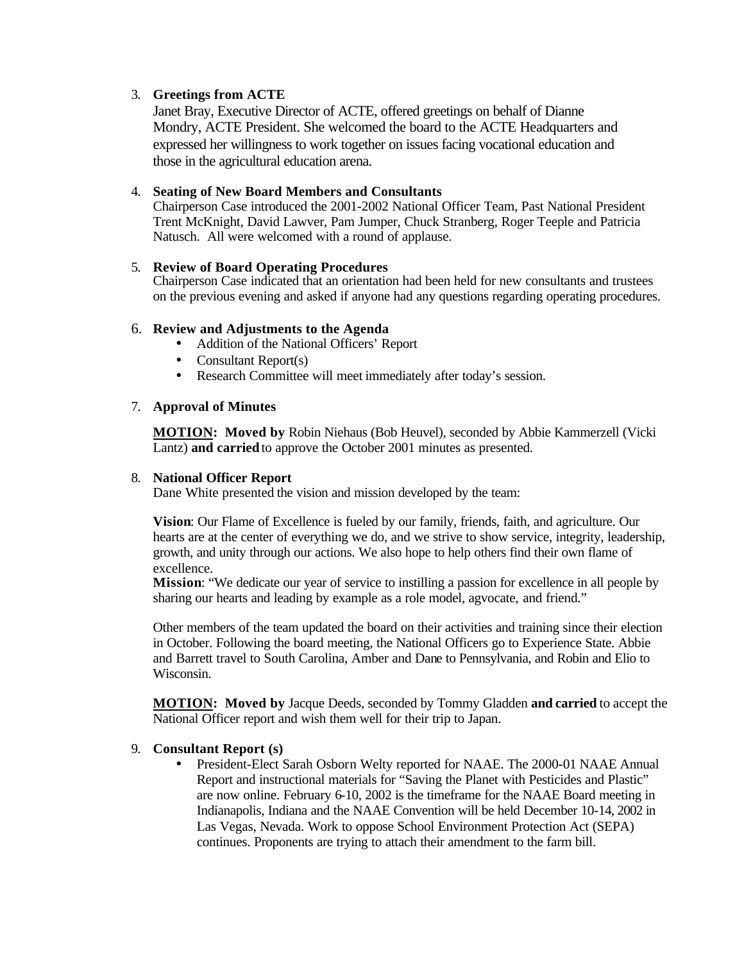## 3. **Greetings from ACTE**

Janet Bray, Executive Director of ACTE, offered greetings on behalf of Dianne Mondry, ACTE President. She welcomed the board to the ACTE Headquarters and expressed her willingness to work together on issues facing vocational education and those in the agricultural education arena.

## 4. **Seating of New Board Members and Consultants**

Chairperson Case introduced the 2001-2002 National Officer Team, Past National President Trent McKnight, David Lawver, Pam Jumper, Chuck Stranberg, Roger Teeple and Patricia Natusch. All were welcomed with a round of applause.

## 5. **Review of Board Operating Procedures**

Chairperson Case indicated that an orientation had been held for new consultants and trustees on the previous evening and asked if anyone had any questions regarding operating procedures.

## 6. **Review and Adjustments to the Agenda**

- Addition of the National Officers' Report
- Consultant Report(s)
- Research Committee will meet immediately after today's session.

## 7. **Approval of Minutes**

**MOTION: Moved by** Robin Niehaus (Bob Heuvel), seconded by Abbie Kammerzell (Vicki Lantz) **and carried** to approve the October 2001 minutes as presented.

## 8. **National Officer Report**

Dane White presented the vision and mission developed by the team:

**Vision**: Our Flame of Excellence is fueled by our family, friends, faith, and agriculture. Our hearts are at the center of everything we do, and we strive to show service, integrity, leadership, growth, and unity through our actions. We also hope to help others find their own flame of excellence.

**Mission**: "We dedicate our year of service to instilling a passion for excellence in all people by sharing our hearts and leading by example as a role model, agvocate, and friend."

Other members of the team updated the board on their activities and training since their election in October. Following the board meeting, the National Officers go to Experience State. Abbie and Barrett travel to South Carolina, Amber and Dane to Pennsylvania, and Robin and Elio to Wisconsin.

**MOTION: Moved by** Jacque Deeds, seconded by Tommy Gladden **and carried** to accept the National Officer report and wish them well for their trip to Japan.

## 9. **Consultant Report (s)**

• President-Elect Sarah Osborn Welty reported for NAAE. The 2000-01 NAAE Annual Report and instructional materials for "Saving the Planet with Pesticides and Plastic" are now online. February 6-10, 2002 is the timeframe for the NAAE Board meeting in Indianapolis, Indiana and the NAAE Convention will be held December 10-14, 2002 in Las Vegas, Nevada. Work to oppose School Environment Protection Act (SEPA) continues. Proponents are trying to attach their amendment to the farm bill.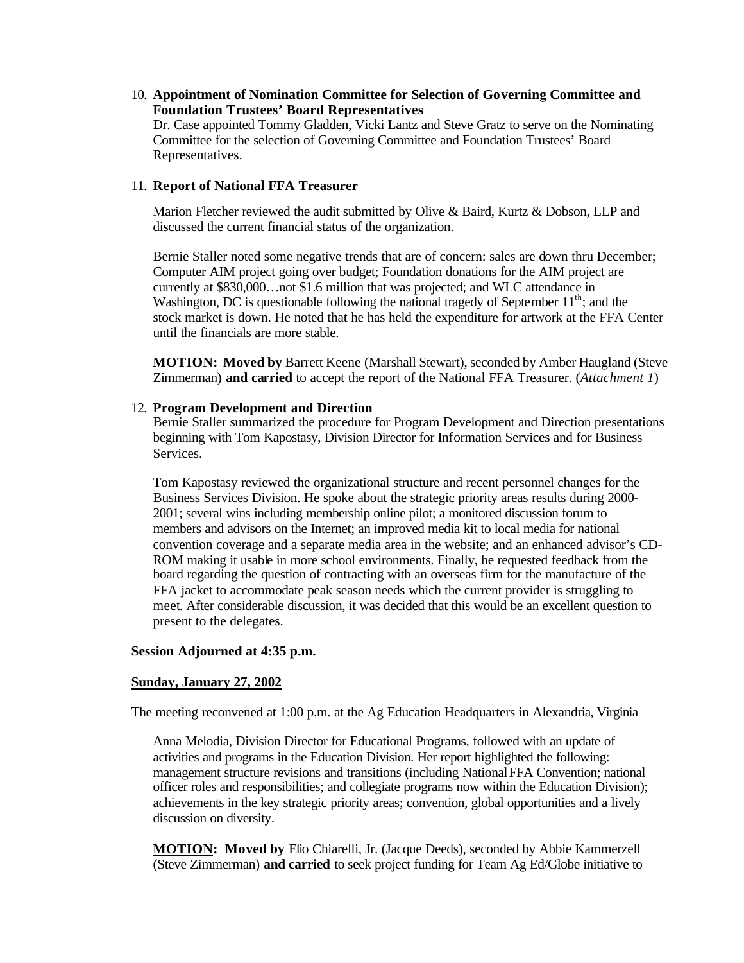10. **Appointment of Nomination Committee for Selection of Governing Committee and Foundation Trustees' Board Representatives**

Dr. Case appointed Tommy Gladden, Vicki Lantz and Steve Gratz to serve on the Nominating Committee for the selection of Governing Committee and Foundation Trustees' Board Representatives.

#### 11. **Report of National FFA Treasurer**

Marion Fletcher reviewed the audit submitted by Olive & Baird, Kurtz & Dobson, LLP and discussed the current financial status of the organization.

Bernie Staller noted some negative trends that are of concern: sales are down thru December; Computer AIM project going over budget; Foundation donations for the AIM project are currently at \$830,000…not \$1.6 million that was projected; and WLC attendance in Washington, DC is questionable following the national tragedy of September  $11<sup>th</sup>$ ; and the stock market is down. He noted that he has held the expenditure for artwork at the FFA Center until the financials are more stable.

**MOTION: Moved by** Barrett Keene (Marshall Stewart), seconded by Amber Haugland (Steve Zimmerman) **and carried** to accept the report of the National FFA Treasurer. (*Attachment 1*)

#### 12. **Program Development and Direction**

Bernie Staller summarized the procedure for Program Development and Direction presentations beginning with Tom Kapostasy, Division Director for Information Services and for Business Services.

Tom Kapostasy reviewed the organizational structure and recent personnel changes for the Business Services Division. He spoke about the strategic priority areas results during 2000- 2001; several wins including membership online pilot; a monitored discussion forum to members and advisors on the Internet; an improved media kit to local media for national convention coverage and a separate media area in the website; and an enhanced advisor's CD-ROM making it usable in more school environments. Finally, he requested feedback from the board regarding the question of contracting with an overseas firm for the manufacture of the FFA jacket to accommodate peak season needs which the current provider is struggling to meet. After considerable discussion, it was decided that this would be an excellent question to present to the delegates.

#### **Session Adjourned at 4:35 p.m.**

### **Sunday, January 27, 2002**

The meeting reconvened at 1:00 p.m. at the Ag Education Headquarters in Alexandria, Virginia

Anna Melodia, Division Director for Educational Programs, followed with an update of activities and programs in the Education Division. Her report highlighted the following: management structure revisions and transitions (including National FFA Convention; national officer roles and responsibilities; and collegiate programs now within the Education Division); achievements in the key strategic priority areas; convention, global opportunities and a lively discussion on diversity.

**MOTION: Moved by** Elio Chiarelli, Jr. (Jacque Deeds), seconded by Abbie Kammerzell (Steve Zimmerman) **and carried** to seek project funding for Team Ag Ed/Globe initiative to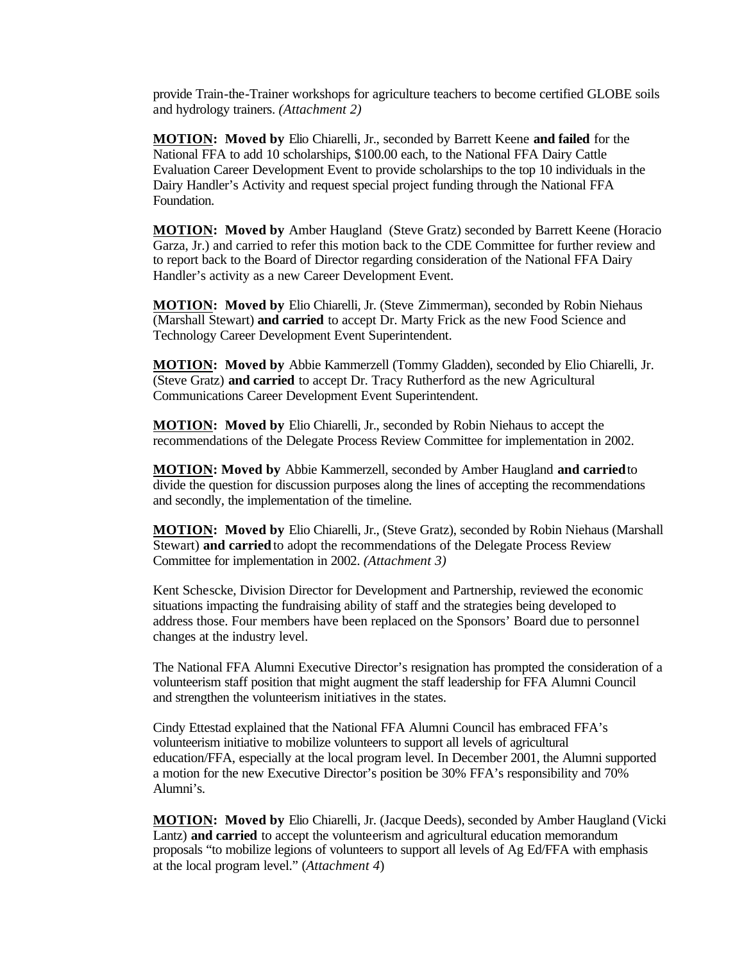provide Train-the-Trainer workshops for agriculture teachers to become certified GLOBE soils and hydrology trainers. *(Attachment 2)*

**MOTION: Moved by** Elio Chiarelli, Jr., seconded by Barrett Keene **and failed** for the National FFA to add 10 scholarships, \$100.00 each, to the National FFA Dairy Cattle Evaluation Career Development Event to provide scholarships to the top 10 individuals in the Dairy Handler's Activity and request special project funding through the National FFA Foundation.

**MOTION: Moved by** Amber Haugland (Steve Gratz) seconded by Barrett Keene (Horacio Garza, Jr.) and carried to refer this motion back to the CDE Committee for further review and to report back to the Board of Director regarding consideration of the National FFA Dairy Handler's activity as a new Career Development Event.

**MOTION: Moved by** Elio Chiarelli, Jr. (Steve Zimmerman), seconded by Robin Niehaus (Marshall Stewart) **and carried** to accept Dr. Marty Frick as the new Food Science and Technology Career Development Event Superintendent.

**MOTION: Moved by** Abbie Kammerzell (Tommy Gladden), seconded by Elio Chiarelli, Jr. (Steve Gratz) **and carried** to accept Dr. Tracy Rutherford as the new Agricultural Communications Career Development Event Superintendent.

**MOTION: Moved by** Elio Chiarelli, Jr., seconded by Robin Niehaus to accept the recommendations of the Delegate Process Review Committee for implementation in 2002.

**MOTION: Moved by** Abbie Kammerzell, seconded by Amber Haugland **and carried** to divide the question for discussion purposes along the lines of accepting the recommendations and secondly, the implementation of the timeline.

**MOTION: Moved by** Elio Chiarelli, Jr., (Steve Gratz), seconded by Robin Niehaus (Marshall Stewart) **and carried** to adopt the recommendations of the Delegate Process Review Committee for implementation in 2002. *(Attachment 3)*

Kent Schescke, Division Director for Development and Partnership, reviewed the economic situations impacting the fundraising ability of staff and the strategies being developed to address those. Four members have been replaced on the Sponsors' Board due to personnel changes at the industry level.

The National FFA Alumni Executive Director's resignation has prompted the consideration of a volunteerism staff position that might augment the staff leadership for FFA Alumni Council and strengthen the volunteerism initiatives in the states.

Cindy Ettestad explained that the National FFA Alumni Council has embraced FFA's volunteerism initiative to mobilize volunteers to support all levels of agricultural education/FFA, especially at the local program level. In December 2001, the Alumni supported a motion for the new Executive Director's position be 30% FFA's responsibility and 70% Alumni's.

**MOTION: Moved by** Elio Chiarelli, Jr. (Jacque Deeds), seconded by Amber Haugland (Vicki Lantz) **and carried** to accept the volunteerism and agricultural education memorandum proposals "to mobilize legions of volunteers to support all levels of Ag Ed/FFA with emphasis at the local program level." (*Attachment 4*)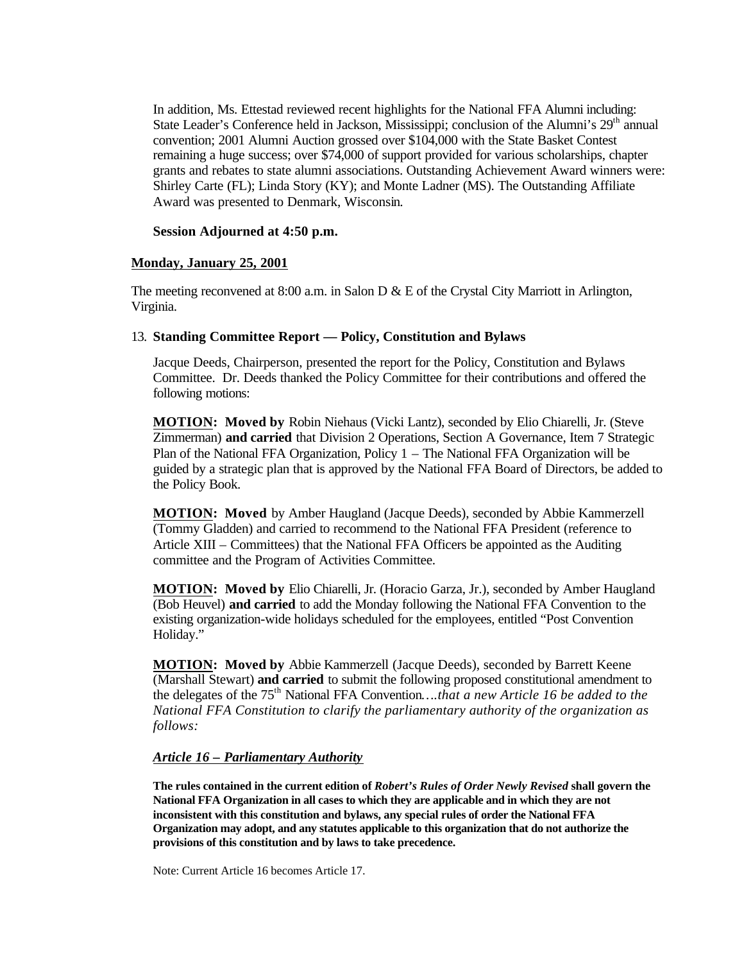In addition, Ms. Ettestad reviewed recent highlights for the National FFA Alumni including: State Leader's Conference held in Jackson, Mississippi; conclusion of the Alumni's 29<sup>th</sup> annual convention; 2001 Alumni Auction grossed over \$104,000 with the State Basket Contest remaining a huge success; over \$74,000 of support provided for various scholarships, chapter grants and rebates to state alumni associations. Outstanding Achievement Award winners were: Shirley Carte (FL); Linda Story (KY); and Monte Ladner (MS). The Outstanding Affiliate Award was presented to Denmark, Wisconsin.

#### **Session Adjourned at 4:50 p.m.**

### **Monday, January 25, 2001**

The meeting reconvened at 8:00 a.m. in Salon D  $\&$  E of the Crystal City Marriott in Arlington, Virginia.

### 13. **Standing Committee Report — Policy, Constitution and Bylaws**

Jacque Deeds, Chairperson, presented the report for the Policy, Constitution and Bylaws Committee. Dr. Deeds thanked the Policy Committee for their contributions and offered the following motions:

**MOTION: Moved by** Robin Niehaus (Vicki Lantz), seconded by Elio Chiarelli, Jr. (Steve Zimmerman) **and carried** that Division 2 Operations, Section A Governance, Item 7 Strategic Plan of the National FFA Organization, Policy 1 – The National FFA Organization will be guided by a strategic plan that is approved by the National FFA Board of Directors, be added to the Policy Book.

**MOTION: Moved** by Amber Haugland (Jacque Deeds), seconded by Abbie Kammerzell (Tommy Gladden) and carried to recommend to the National FFA President (reference to Article XIII – Committees) that the National FFA Officers be appointed as the Auditing committee and the Program of Activities Committee.

**MOTION: Moved by** Elio Chiarelli, Jr. (Horacio Garza, Jr.), seconded by Amber Haugland (Bob Heuvel) **and carried** to add the Monday following the National FFA Convention to the existing organization-wide holidays scheduled for the employees, entitled "Post Convention Holiday."

**MOTION: Moved by** Abbie Kammerzell (Jacque Deeds), seconded by Barrett Keene (Marshall Stewart) **and carried** to submit the following proposed constitutional amendment to the delegates of the 75<sup>th</sup> National FFA Convention....*that a new Article 16 be added to the National FFA Constitution to clarify the parliamentary authority of the organization as follows:*

#### *Article 16 – Parliamentary Authority*

**The rules contained in the current edition of** *Robert's Rules of Order Newly Revised* **shall govern the National FFA Organization in all cases to which they are applicable and in which they are not inconsistent with this constitution and bylaws, any special rules of order the National FFA Organization may adopt, and any statutes applicable to this organization that do not authorize the provisions of this constitution and by laws to take precedence.**

Note: Current Article 16 becomes Article 17.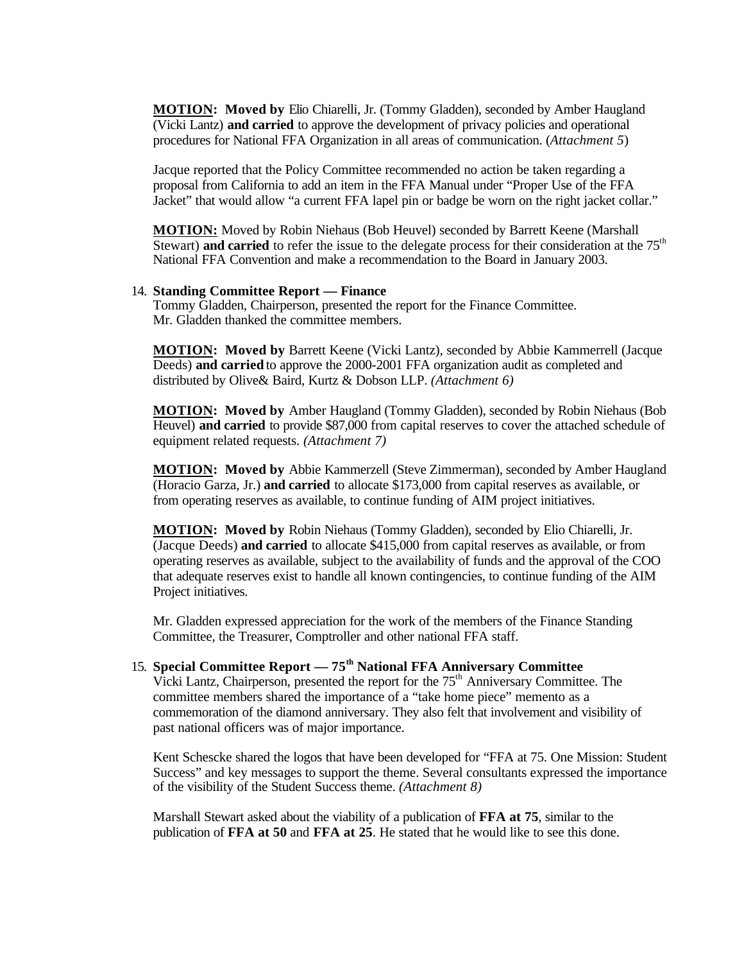**MOTION: Moved by** Elio Chiarelli, Jr. (Tommy Gladden), seconded by Amber Haugland (Vicki Lantz) **and carried** to approve the development of privacy policies and operational procedures for National FFA Organization in all areas of communication. (*Attachment 5*)

Jacque reported that the Policy Committee recommended no action be taken regarding a proposal from California to add an item in the FFA Manual under "Proper Use of the FFA Jacket" that would allow "a current FFA lapel pin or badge be worn on the right jacket collar."

**MOTION:** Moved by Robin Niehaus (Bob Heuvel) seconded by Barrett Keene (Marshall Stewart) **and carried** to refer the issue to the delegate process for their consideration at the 75<sup>th</sup> National FFA Convention and make a recommendation to the Board in January 2003.

#### 14. **Standing Committee Report — Finance**

Tommy Gladden, Chairperson, presented the report for the Finance Committee. Mr. Gladden thanked the committee members.

**MOTION: Moved by** Barrett Keene (Vicki Lantz), seconded by Abbie Kammerrell (Jacque Deeds) **and carried** to approve the 2000-2001 FFA organization audit as completed and distributed by Olive& Baird, Kurtz & Dobson LLP. *(Attachment 6)*

**MOTION: Moved by** Amber Haugland (Tommy Gladden), seconded by Robin Niehaus (Bob Heuvel) **and carried** to provide \$87,000 from capital reserves to cover the attached schedule of equipment related requests. *(Attachment 7)*

**MOTION: Moved by** Abbie Kammerzell (Steve Zimmerman), seconded by Amber Haugland (Horacio Garza, Jr.) **and carried** to allocate \$173,000 from capital reserves as available, or from operating reserves as available, to continue funding of AIM project initiatives.

**MOTION: Moved by** Robin Niehaus (Tommy Gladden), seconded by Elio Chiarelli, Jr. (Jacque Deeds) **and carried** to allocate \$415,000 from capital reserves as available, or from operating reserves as available, subject to the availability of funds and the approval of the COO that adequate reserves exist to handle all known contingencies, to continue funding of the AIM Project initiatives.

Mr. Gladden expressed appreciation for the work of the members of the Finance Standing Committee, the Treasurer, Comptroller and other national FFA staff.

## 15. **Special Committee Report — 75th National FFA Anniversary Committee** Vicki Lantz, Chairperson, presented the report for the  $75<sup>th</sup>$  Anniversary Committee. The committee members shared the importance of a "take home piece" memento as a commemoration of the diamond anniversary. They also felt that involvement and visibility of past national officers was of major importance.

Kent Schescke shared the logos that have been developed for "FFA at 75. One Mission: Student Success" and key messages to support the theme. Several consultants expressed the importance of the visibility of the Student Success theme. *(Attachment 8)*

Marshall Stewart asked about the viability of a publication of **FFA at 75**, similar to the publication of **FFA at 50** and **FFA at 25**. He stated that he would like to see this done.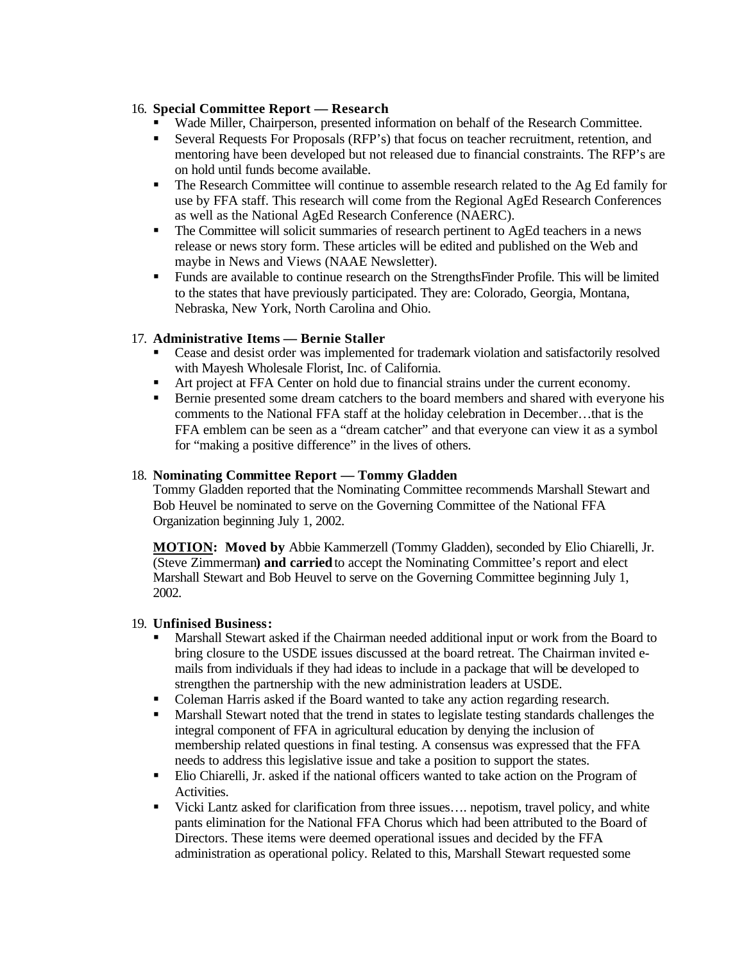## 16. **Special Committee Report — Research**

- ß Wade Miller, Chairperson, presented information on behalf of the Research Committee.
- **Exercise For Proposals (RFP's) that focus on teacher recruitment, retention, and** mentoring have been developed but not released due to financial constraints. The RFP's are on hold until funds become available.
- The Research Committee will continue to assemble research related to the Ag Ed family for use by FFA staff. This research will come from the Regional AgEd Research Conferences as well as the National AgEd Research Conference (NAERC).
- The Committee will solicit summaries of research pertinent to AgEd teachers in a news release or news story form. These articles will be edited and published on the Web and maybe in News and Views (NAAE Newsletter).
- ß Funds are available to continue research on the StrengthsFinder Profile. This will be limited to the states that have previously participated. They are: Colorado, Georgia, Montana, Nebraska, New York, North Carolina and Ohio.

## 17. **Administrative Items — Bernie Staller**

- Cease and desist order was implemented for trademark violation and satisfactorily resolved with Mayesh Wholesale Florist, Inc. of California.
- ß Art project at FFA Center on hold due to financial strains under the current economy.
- Bernie presented some dream catchers to the board members and shared with everyone his comments to the National FFA staff at the holiday celebration in December…that is the FFA emblem can be seen as a "dream catcher" and that everyone can view it as a symbol for "making a positive difference" in the lives of others.

## 18. **Nominating Committee Report — Tommy Gladden**

Tommy Gladden reported that the Nominating Committee recommends Marshall Stewart and Bob Heuvel be nominated to serve on the Governing Committee of the National FFA Organization beginning July 1, 2002.

**MOTION: Moved by** Abbie Kammerzell (Tommy Gladden), seconded by Elio Chiarelli, Jr. (Steve Zimmerman**) and carried** to accept the Nominating Committee's report and elect Marshall Stewart and Bob Heuvel to serve on the Governing Committee beginning July 1, 2002.

## 19. **Unfinised Business:**

- ß Marshall Stewart asked if the Chairman needed additional input or work from the Board to bring closure to the USDE issues discussed at the board retreat. The Chairman invited emails from individuals if they had ideas to include in a package that will be developed to strengthen the partnership with the new administration leaders at USDE.
- Coleman Harris asked if the Board wanted to take any action regarding research.
- **Marshall Stewart noted that the trend in states to legislate testing standards challenges the** integral component of FFA in agricultural education by denying the inclusion of membership related questions in final testing. A consensus was expressed that the FFA needs to address this legislative issue and take a position to support the states.
- Elio Chiarelli, Jr. asked if the national officers wanted to take action on the Program of Activities.
- Vicki Lantz asked for clarification from three issues.... nepotism, travel policy, and white pants elimination for the National FFA Chorus which had been attributed to the Board of Directors. These items were deemed operational issues and decided by the FFA administration as operational policy. Related to this, Marshall Stewart requested some